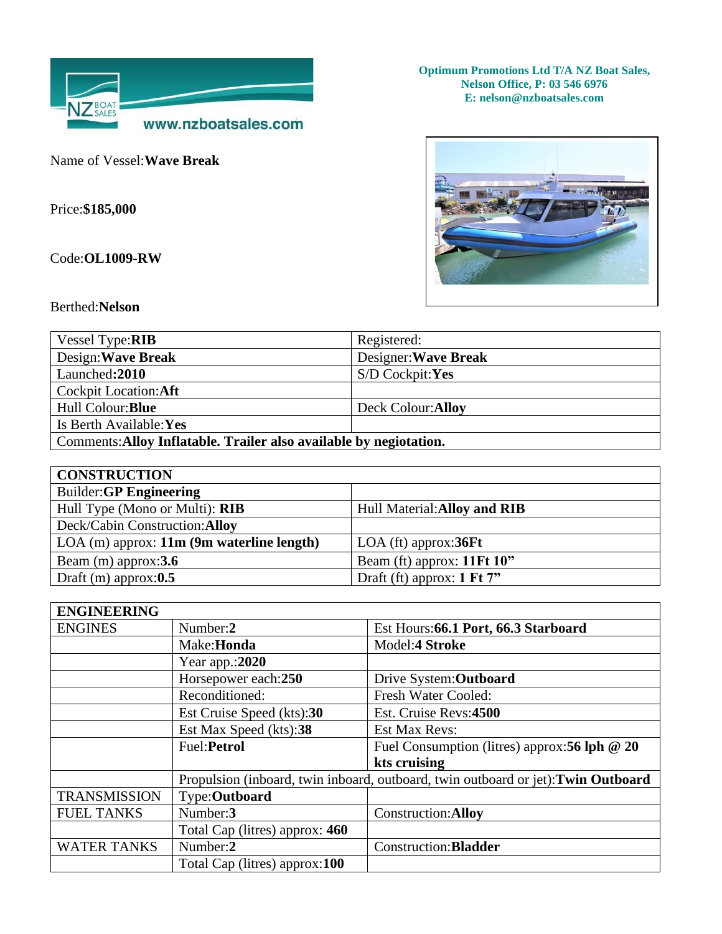

Name of Vessel:**Wave Break**

Price:**\$185,000**

Code:**OL1009-RW**

**Optimum Promotions Ltd T/A NZ Boat Sales, Nelson Office, P: 03 546 6976 E: nelson@nzboatsales.com** 



Berthed:**Nelson**

| Vessel Type: RIB                                                   | Registered:          |  |
|--------------------------------------------------------------------|----------------------|--|
| Design: Wave Break                                                 | Designer: Wave Break |  |
| Launched: 2010                                                     | S/D Cockpit:Yes      |  |
| Cockpit Location: Aft                                              |                      |  |
| Hull Colour: Blue                                                  | Deck Colour: Alloy   |  |
| Is Berth Available: Yes                                            |                      |  |
| Comments: Alloy Inflatable. Trailer also available by negiotation. |                      |  |

| <b>CONSTRUCTION</b>                         |                                       |
|---------------------------------------------|---------------------------------------|
| Builder: GP Engineering                     |                                       |
| Hull Type (Mono or Multi): RIB              | Hull Material: Alloy and RIB          |
| Deck/Cabin Construction: Alloy              |                                       |
| $LOA$ (m) approx: 11m (9m waterline length) | $LOA$ (ft) approx: 36 $Ft$            |
| Beam $(m)$ approx: 3.6                      | Beam (ft) approx: 11Ft 10"            |
| Draft (m) approx: $0.5$                     | Draft (ft) approx: $1 \text{ Ft} 7$ " |

| <b>ENGINEERING</b>  |                                                                                   |                                                   |
|---------------------|-----------------------------------------------------------------------------------|---------------------------------------------------|
| <b>ENGINES</b>      | Number:2                                                                          | Est Hours: 66.1 Port, 66.3 Starboard              |
|                     | Make: <b>Honda</b>                                                                | Model:4 Stroke                                    |
|                     | Year app.:2020                                                                    |                                                   |
|                     | Horsepower each:250                                                               | Drive System: Outboard                            |
|                     | Reconditioned:                                                                    | Fresh Water Cooled:                               |
|                     | Est Cruise Speed (kts):30                                                         | Est. Cruise Revs:4500                             |
|                     | Est Max Speed (kts):38                                                            | <b>Est Max Revs:</b>                              |
|                     | Fuel: Petrol                                                                      | Fuel Consumption (litres) approx: $56$ lph $@$ 20 |
|                     |                                                                                   | kts cruising                                      |
|                     | Propulsion (inboard, twin inboard, outboard, twin outboard or jet): Twin Outboard |                                                   |
| <b>TRANSMISSION</b> | Type: Outboard                                                                    |                                                   |
| <b>FUEL TANKS</b>   | Number:3                                                                          | Construction: Alloy                               |
|                     | Total Cap (litres) approx: 460                                                    |                                                   |
| <b>WATER TANKS</b>  | Number:2                                                                          | Construction: Bladder                             |
|                     | Total Cap (litres) approx:100                                                     |                                                   |